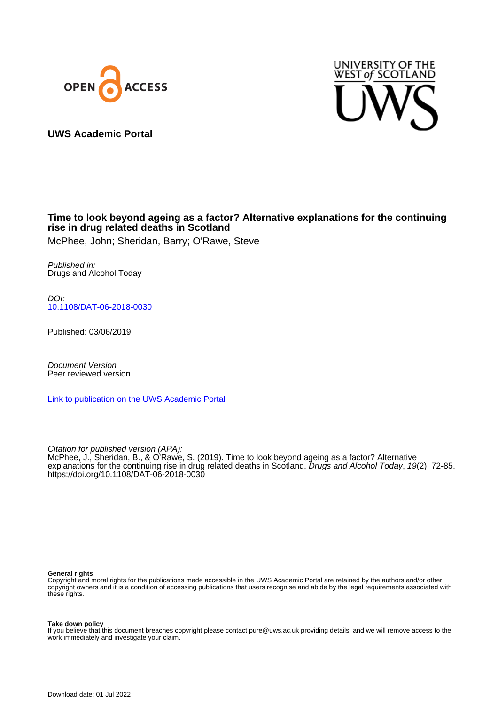



**UWS Academic Portal**

# **Time to look beyond ageing as a factor? Alternative explanations for the continuing rise in drug related deaths in Scotland**

McPhee, John; Sheridan, Barry; O'Rawe, Steve

Published in: Drugs and Alcohol Today

DOI: [10.1108/DAT-06-2018-0030](https://doi.org/10.1108/DAT-06-2018-0030)

Published: 03/06/2019

Document Version Peer reviewed version

[Link to publication on the UWS Academic Portal](https://uws.pure.elsevier.com/en/publications/ad4e66a4-d4b0-44fe-b731-16706b1418e4)

Citation for published version (APA): McPhee, J., Sheridan, B., & O'Rawe, S. (2019). Time to look beyond ageing as a factor? Alternative explanations for the continuing rise in drug related deaths in Scotland. Drugs and Alcohol Today, 19(2), 72-85. <https://doi.org/10.1108/DAT-06-2018-0030>

#### **General rights**

Copyright and moral rights for the publications made accessible in the UWS Academic Portal are retained by the authors and/or other copyright owners and it is a condition of accessing publications that users recognise and abide by the legal requirements associated with these rights.

**Take down policy**

If you believe that this document breaches copyright please contact pure@uws.ac.uk providing details, and we will remove access to the work immediately and investigate your claim.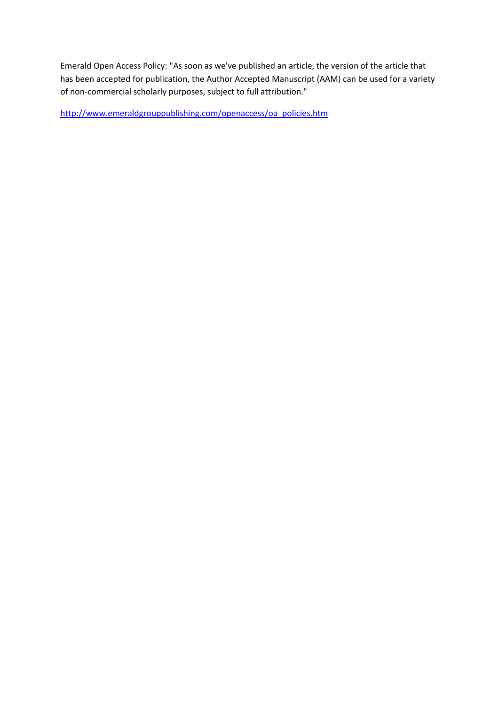Emerald Open Access Policy: "As soon as we've published an article, the version of the article that has been accepted for publication, the Author Accepted Manuscript (AAM) can be used for a variety of non-commercial scholarly purposes, subject to full attribution."

[http://www.emeraldgrouppublishing.com/openaccess/oa\\_policies.htm](http://www.emeraldgrouppublishing.com/openaccess/oa_policies.htm)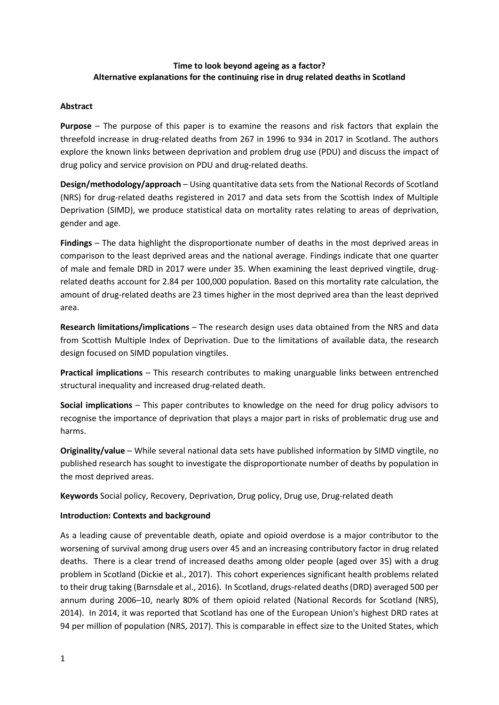## **Time to look beyond ageing as a factor? Alternative explanations for the continuing rise in drug related deaths in Scotland**

### **Abstract**

**Purpose** – The purpose of this paper is to examine the reasons and risk factors that explain the threefold increase in drug-related deaths from 267 in 1996 to 934 in 2017 in Scotland. The authors explore the known links between deprivation and problem drug use (PDU) and discuss the impact of drug policy and service provision on PDU and drug-related deaths.

**Design/methodology/approach** – Using quantitative data sets from the National Records of Scotland (NRS) for drug-related deaths registered in 2017 and data sets from the Scottish Index of Multiple Deprivation (SIMD), we produce statistical data on mortality rates relating to areas of deprivation, gender and age.

**Findings** – The data highlight the disproportionate number of deaths in the most deprived areas in comparison to the least deprived areas and the national average. Findings indicate that one quarter of male and female DRD in 2017 were under 35. When examining the least deprived vingtile, drugrelated deaths account for 2.84 per 100,000 population. Based on this mortality rate calculation, the amount of drug-related deaths are 23 times higher in the most deprived area than the least deprived area.

**Research limitations/implications** – The research design uses data obtained from the NRS and data from Scottish Multiple Index of Deprivation. Due to the limitations of available data, the research design focused on SIMD population vingtiles.

**Practical implications** – This research contributes to making unarguable links between entrenched structural inequality and increased drug-related death.

**Social implications** – This paper contributes to knowledge on the need for drug policy advisors to recognise the importance of deprivation that plays a major part in risks of problematic drug use and harms.

**Originality/value** – While several national data sets have published information by SIMD vingtile, no published research has sought to investigate the disproportionate number of deaths by population in the most deprived areas.

**Keywords** Social policy, Recovery, Deprivation, Drug policy, Drug use, Drug-related death

### **Introduction: Contexts and background**

As a leading cause of preventable death, opiate and opioid overdose is a major contributor to the worsening of survival among drug users over 45 and an increasing contributory factor in drug related deaths. There is a clear trend of increased deaths among older people (aged over 35) with a drug problem in Scotland (Dickie et al., 2017). This cohort experiences significant health problems related to their drug taking (Barnsdale et al., 2016). In Scotland, drugs-related deaths (DRD) averaged 500 per annum during 2006–10, nearly 80% of them opioid related (National Records for Scotland (NRS), 2014). In 2014, it was reported that Scotland has one of the European Union's highest DRD rates at 94 per million of population (NRS, 2017). This is comparable in effect size to the United States, which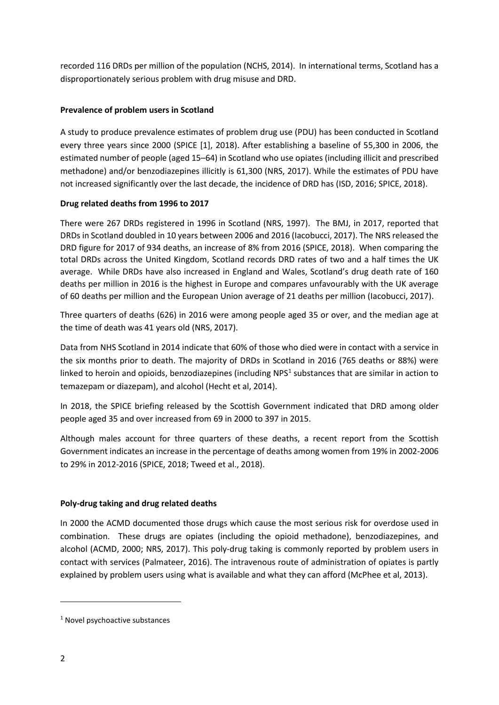recorded 116 DRDs per million of the population (NCHS, 2014). In international terms, Scotland has a disproportionately serious problem with drug misuse and DRD.

# **Prevalence of problem users in Scotland**

A study to produce prevalence estimates of problem drug use (PDU) has been conducted in Scotland every three years since 2000 (SPICE [1], 2018). After establishing a baseline of 55,300 in 2006, the estimated number of people (aged 15–64) in Scotland who use opiates (including illicit and prescribed methadone) and/or benzodiazepines illicitly is 61,300 (NRS, 2017). While the estimates of PDU have not increased significantly over the last decade, the incidence of DRD has (ISD, 2016; SPICE, 2018).

# **Drug related deaths from 1996 to 2017**

There were 267 DRDs registered in 1996 in Scotland (NRS, 1997). The BMJ, in 2017, reported that DRDs in Scotland doubled in 10 years between 2006 and 2016 (Iacobucci, 2017). The NRS released the DRD figure for 2017 of 934 deaths, an increase of 8% from 2016 (SPICE, 2018). When comparing the total DRDs across the United Kingdom, Scotland records DRD rates of two and a half times the UK average. While DRDs have also increased in England and Wales, Scotland's drug death rate of 160 deaths per million in 2016 is the highest in Europe and compares unfavourably with the UK average of 60 deaths per million and the European Union average of 21 deaths per million (Iacobucci, 2017).

Three quarters of deaths (626) in 2016 were among people aged 35 or over, and the median age at the time of death was 41 years old (NRS, 2017).

Data from NHS Scotland in 2014 indicate that 60% of those who died were in contact with a service in the six months prior to death. The majority of DRDs in Scotland in 2016 (765 deaths or 88%) were linked to heroin and opioids, benzodiazepines (including NPS<sup>[1](#page-3-0)</sup> substances that are similar in action to temazepam or diazepam), and alcohol (Hecht et al, 2014).

In 2018, the SPICE briefing released by the Scottish Government indicated that DRD among older people aged 35 and over increased from 69 in 2000 to 397 in 2015.

Although males account for three quarters of these deaths, a recent report from the Scottish Government indicates an increase in the percentage of deaths among women from 19% in 2002-2006 to 29% in 2012-2016 (SPICE, 2018; Tweed et al., 2018).

### **Poly-drug taking and drug related deaths**

In 2000 the ACMD documented those drugs which cause the most serious risk for overdose used in combination. These drugs are opiates (including the opioid methadone), benzodiazepines, and alcohol (ACMD, 2000; NRS, 2017). This poly-drug taking is commonly reported by problem users in contact with services (Palmateer, 2016). The intravenous route of administration of opiates is partly explained by problem users using what is available and what they can afford (McPhee et al, 2013).

**.** 

<span id="page-3-0"></span><sup>&</sup>lt;sup>1</sup> Novel psychoactive substances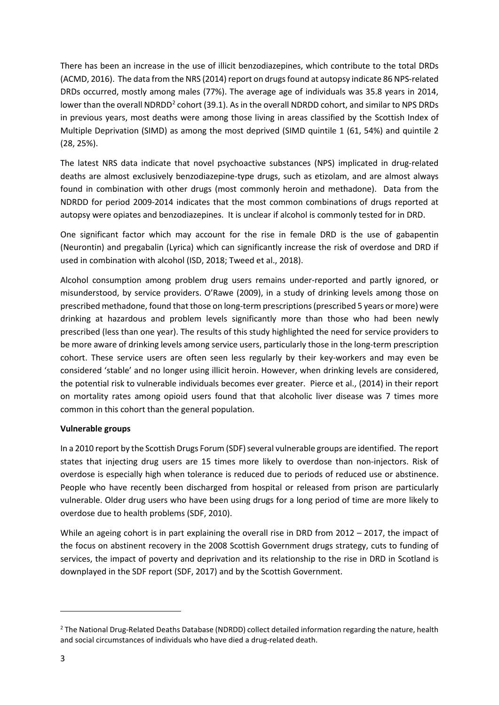There has been an increase in the use of illicit benzodiazepines, which contribute to the total DRDs (ACMD, 2016). The data from the NRS (2014) report on drugs found at autopsy indicate 86 NPS-related DRDs occurred, mostly among males (77%). The average age of individuals was 35.8 years in 2014, lower than the overall NDRDD<sup>[2](#page-4-0)</sup> cohort (39.1). As in the overall NDRDD cohort, and similar to NPS DRDs in previous years, most deaths were among those living in areas classified by the Scottish Index of Multiple Deprivation (SIMD) as among the most deprived (SIMD quintile 1 (61, 54%) and quintile 2 (28, 25%).

The latest NRS data indicate that novel psychoactive substances (NPS) implicated in drug-related deaths are almost exclusively benzodiazepine-type drugs, such as etizolam, and are almost always found in combination with other drugs (most commonly heroin and methadone). Data from the NDRDD for period 2009-2014 indicates that the most common combinations of drugs reported at autopsy were opiates and benzodiazepines. It is unclear if alcohol is commonly tested for in DRD.

One significant factor which may account for the rise in female DRD is the use of gabapentin (Neurontin) and pregabalin (Lyrica) which can significantly increase the risk of overdose and DRD if used in combination with alcohol (ISD, 2018; Tweed et al., 2018).

Alcohol consumption among problem drug users remains under-reported and partly ignored, or misunderstood, by service providers. O'Rawe (2009), in a study of drinking levels among those on prescribed methadone, found that those on long-term prescriptions (prescribed 5 years or more) were drinking at hazardous and problem levels significantly more than those who had been newly prescribed (less than one year). The results of this study highlighted the need for service providers to be more aware of drinking levels among service users, particularly those in the long-term prescription cohort. These service users are often seen less regularly by their key-workers and may even be considered 'stable' and no longer using illicit heroin. However, when drinking levels are considered, the potential risk to vulnerable individuals becomes ever greater. Pierce et al., (2014) in their report on mortality rates among opioid users found that that alcoholic liver disease was 7 times more common in this cohort than the general population.

### **Vulnerable groups**

In a 2010 report by the Scottish Drugs Forum (SDF) several vulnerable groups are identified. The report states that injecting drug users are 15 times more likely to overdose than non-injectors. Risk of overdose is especially high when tolerance is reduced due to periods of reduced use or abstinence. People who have recently been discharged from hospital or released from prison are particularly vulnerable. Older drug users who have been using drugs for a long period of time are more likely to overdose due to health problems (SDF, 2010).

While an ageing cohort is in part explaining the overall rise in DRD from 2012 – 2017, the impact of the focus on abstinent recovery in the 2008 Scottish Government drugs strategy, cuts to funding of services, the impact of poverty and deprivation and its relationship to the rise in DRD in Scotland is downplayed in the SDF report (SDF, 2017) and by the Scottish Government.

**.** 

<span id="page-4-0"></span><sup>2</sup> The National Drug-Related Deaths Database (NDRDD) collect detailed information regarding the nature, health and social circumstances of individuals who have died a drug-related death.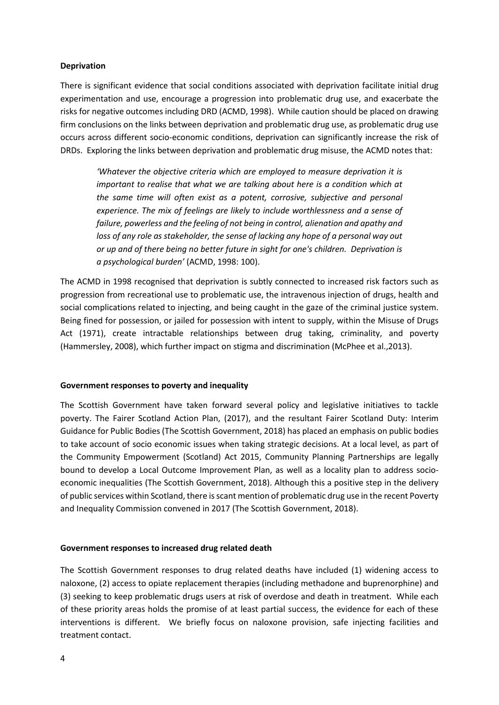#### **Deprivation**

There is significant evidence that social conditions associated with deprivation facilitate initial drug experimentation and use, encourage a progression into problematic drug use, and exacerbate the risks for negative outcomes including DRD (ACMD, 1998). While caution should be placed on drawing firm conclusions on the links between deprivation and problematic drug use, as problematic drug use occurs across different socio-economic conditions, deprivation can significantly increase the risk of DRDs. Exploring the links between deprivation and problematic drug misuse, the ACMD notes that:

*'Whatever the objective criteria which are employed to measure deprivation it is important to realise that what we are talking about here is a condition which at the same time will often exist as a potent, corrosive, subjective and personal experience. The mix of feelings are likely to include worthlessness and a sense of failure, powerless and the feeling of not being in control, alienation and apathy and loss of any role as stakeholder, the sense of lacking any hope of a personal way out or up and of there being no better future in sight for one's children. Deprivation is a psychological burden'* (ACMD, 1998: 100).

The ACMD in 1998 recognised that deprivation is subtly connected to increased risk factors such as progression from recreational use to problematic use, the intravenous injection of drugs, health and social complications related to injecting, and being caught in the gaze of the criminal justice system. Being fined for possession, or jailed for possession with intent to supply, within the Misuse of Drugs Act (1971), create intractable relationships between drug taking, criminality, and poverty (Hammersley, 2008), which further impact on stigma and discrimination (McPhee et al.,2013).

#### **Government responses to poverty and inequality**

The Scottish Government have taken forward several policy and legislative initiatives to tackle poverty. The Fairer Scotland Action Plan, (2017), and the resultant Fairer Scotland Duty: Interim Guidance for Public Bodies (The Scottish Government, 2018) has placed an emphasis on public bodies to take account of socio economic issues when taking strategic decisions. At a local level, as part of the Community Empowerment (Scotland) Act 2015, Community Planning Partnerships are legally bound to develop a Local Outcome Improvement Plan, as well as a locality plan to address socioeconomic inequalities (The Scottish Government, 2018). Although this a positive step in the delivery of public services within Scotland, there is scant mention of problematic drug use in the recent Poverty and Inequality Commission convened in 2017 (The Scottish Government, 2018).

#### **Government responses to increased drug related death**

The Scottish Government responses to drug related deaths have included (1) widening access to naloxone, (2) access to opiate replacement therapies (including methadone and buprenorphine) and (3) seeking to keep problematic drugs users at risk of overdose and death in treatment. While each of these priority areas holds the promise of at least partial success, the evidence for each of these interventions is different. We briefly focus on naloxone provision, safe injecting facilities and treatment contact.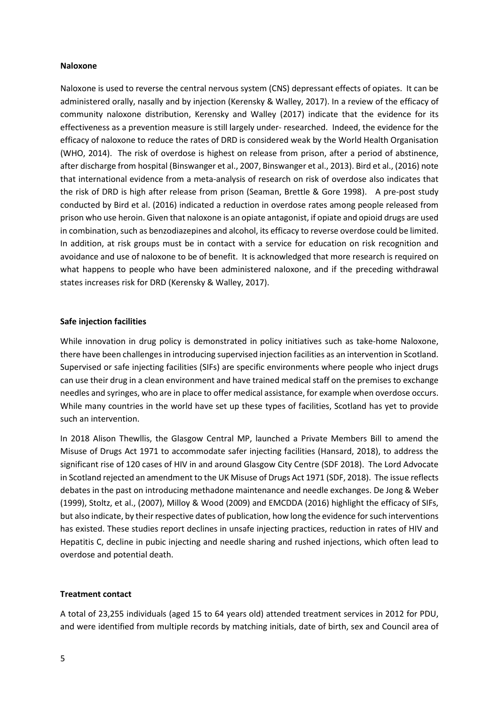#### **Naloxone**

Naloxone is used to reverse the central nervous system (CNS) depressant effects of opiates. It can be administered orally, nasally and by injection (Kerensky & Walley, 2017). In a review of the efficacy of community naloxone distribution, Kerensky and Walley (2017) indicate that the evidence for its effectiveness as a prevention measure is still largely under- researched. Indeed, the evidence for the efficacy of naloxone to reduce the rates of DRD is considered weak by the World Health Organisation (WHO, 2014). The risk of overdose is highest on release from prison, after a period of abstinence, after discharge from hospital (Binswanger et al., 2007, Binswanger et al., 2013). Bird et al., (2016) note that international evidence from a meta-analysis of research on risk of overdose also indicates that the risk of DRD is high after release from prison (Seaman, Brettle & Gore 1998). A pre-post study conducted by Bird et al. (2016) indicated a reduction in overdose rates among people released from prison who use heroin. Given that naloxone is an opiate antagonist, if opiate and opioid drugs are used in combination, such as benzodiazepines and alcohol, its efficacy to reverse overdose could be limited. In addition, at risk groups must be in contact with a service for education on risk recognition and avoidance and use of naloxone to be of benefit. It is acknowledged that more research is required on what happens to people who have been administered naloxone, and if the preceding withdrawal states increases risk for DRD (Kerensky & Walley, 2017).

#### **Safe injection facilities**

While innovation in drug policy is demonstrated in policy initiatives such as take-home Naloxone, there have been challenges in introducing supervised injection facilities as an intervention in Scotland. Supervised or safe injecting facilities (SIFs) are specific environments where people who inject drugs can use their drug in a clean environment and have trained medical staff on the premises to exchange needles and syringes, who are in place to offer medical assistance, for example when overdose occurs. While many countries in the world have set up these types of facilities, Scotland has yet to provide such an intervention.

In 2018 Alison Thewllis, the Glasgow Central MP, launched a Private Members Bill to amend the Misuse of Drugs Act 1971 to accommodate safer injecting facilities (Hansard, 2018), to address the significant rise of 120 cases of HIV in and around Glasgow City Centre (SDF 2018). The Lord Advocate in Scotland rejected an amendment to the UK Misuse of Drugs Act 1971 (SDF, 2018). The issue reflects debates in the past on introducing methadone maintenance and needle exchanges. De Jong & Weber (1999), Stoltz, et al., (2007), Milloy & Wood (2009) and EMCDDA (2016) highlight the efficacy of SIFs, but also indicate, by their respective dates of publication, how long the evidence for such interventions has existed. These studies report declines in unsafe injecting practices, reduction in rates of HIV and Hepatitis C, decline in pubic injecting and needle sharing and rushed injections, which often lead to overdose and potential death.

#### **Treatment contact**

A total of 23,255 individuals (aged 15 to 64 years old) attended treatment services in 2012 for PDU, and were identified from multiple records by matching initials, date of birth, sex and Council area of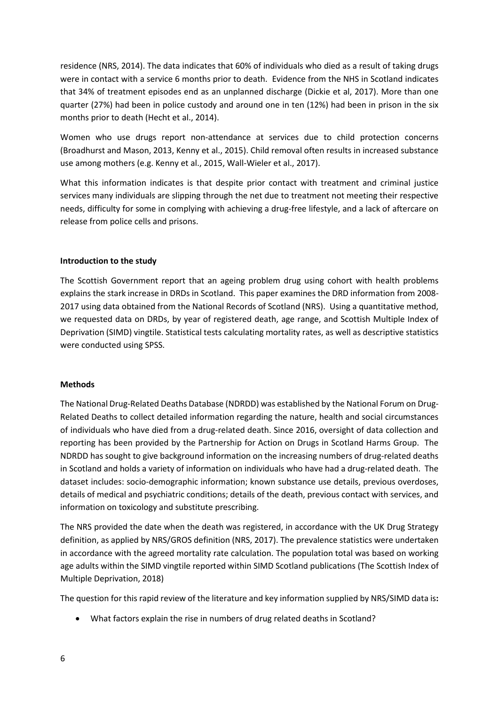residence (NRS, 2014). The data indicates that 60% of individuals who died as a result of taking drugs were in contact with a service 6 months prior to death. Evidence from the NHS in Scotland indicates that 34% of treatment episodes end as an unplanned discharge (Dickie et al, 2017). More than one quarter (27%) had been in police custody and around one in ten (12%) had been in prison in the six months prior to death (Hecht et al., 2014).

Women who use drugs report non-attendance at services due to child protection concerns (Broadhurst and Mason, 2013, Kenny et al., 2015). Child removal often results in increased substance use among mothers (e.g. Kenny et al., 2015, Wall-Wieler et al., 2017).

What this information indicates is that despite prior contact with treatment and criminal justice services many individuals are slipping through the net due to treatment not meeting their respective needs, difficulty for some in complying with achieving a drug-free lifestyle, and a lack of aftercare on release from police cells and prisons.

#### **Introduction to the study**

The Scottish Government report that an ageing problem drug using cohort with health problems explains the stark increase in DRDs in Scotland. This paper examines the DRD information from 2008- 2017 using data obtained from the National Records of Scotland (NRS). Using a quantitative method, we requested data on DRDs, by year of registered death, age range, and Scottish Multiple Index of Deprivation (SIMD) vingtile. Statistical tests calculating mortality rates, as well as descriptive statistics were conducted using SPSS.

#### **Methods**

The National Drug-Related Deaths Database (NDRDD) was established by the National Forum on Drug-Related Deaths to collect detailed information regarding the nature, health and social circumstances of individuals who have died from a drug-related death. Since 2016, oversight of data collection and reporting has been provided by the Partnership for Action on Drugs in Scotland Harms Group. The NDRDD has sought to give background information on the increasing numbers of drug-related deaths in Scotland and holds a variety of information on individuals who have had a drug-related death. The dataset includes: socio-demographic information; known substance use details, previous overdoses, details of medical and psychiatric conditions; details of the death, previous contact with services, and information on toxicology and substitute prescribing.

The NRS provided the date when the death was registered, in accordance with the UK Drug Strategy definition, as applied by NRS/GROS definition (NRS, 2017). The prevalence statistics were undertaken in accordance with the agreed mortality rate calculation. The population total was based on working age adults within the SIMD vingtile reported within SIMD Scotland publications (The Scottish Index of Multiple Deprivation, 2018)

The question for this rapid review of the literature and key information supplied by NRS/SIMD data is**:**

• What factors explain the rise in numbers of drug related deaths in Scotland?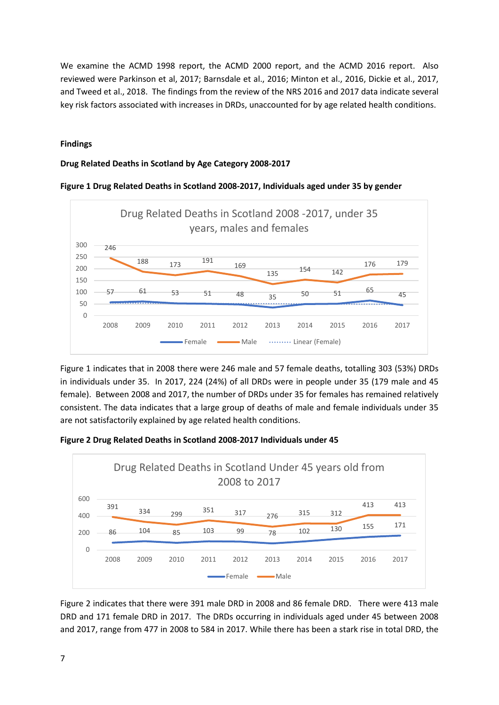We examine the ACMD 1998 report, the ACMD 2000 report, and the ACMD 2016 report. Also reviewed were Parkinson et al, 2017; Barnsdale et al., 2016; Minton et al., 2016, Dickie et al., 2017, and Tweed et al., 2018. The findings from the review of the NRS 2016 and 2017 data indicate several key risk factors associated with increases in DRDs, unaccounted for by age related health conditions.

#### **Findings**

#### **Drug Related Deaths in Scotland by Age Category 2008-2017**





Figure 1 indicates that in 2008 there were 246 male and 57 female deaths, totalling 303 (53%) DRDs in individuals under 35. In 2017, 224 (24%) of all DRDs were in people under 35 (179 male and 45 female). Between 2008 and 2017, the number of DRDs under 35 for females has remained relatively consistent. The data indicates that a large group of deaths of male and female individuals under 35 are not satisfactorily explained by age related health conditions.





Figure 2 indicates that there were 391 male DRD in 2008 and 86 female DRD. There were 413 male DRD and 171 female DRD in 2017. The DRDs occurring in individuals aged under 45 between 2008 and 2017, range from 477 in 2008 to 584 in 2017. While there has been a stark rise in total DRD, the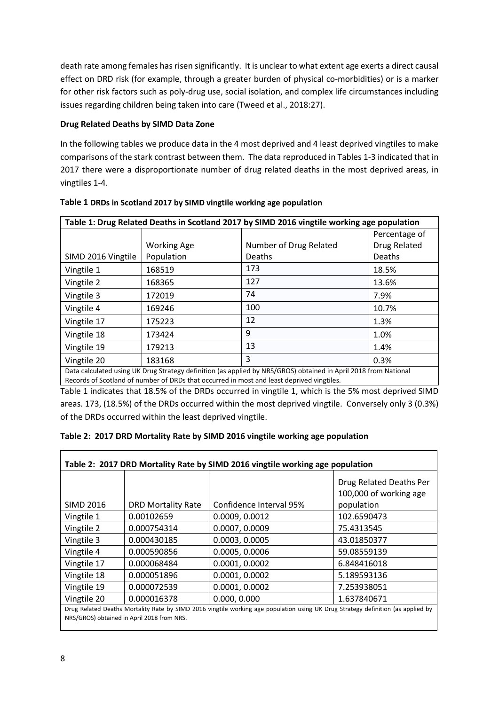death rate among females has risen significantly. It is unclear to what extent age exerts a direct causal effect on DRD risk (for example, through a greater burden of physical co-morbidities) or is a marker for other risk factors such as poly-drug use, social isolation, and complex life circumstances including issues regarding children being taken into care (Tweed et al., 2018:27).

## **Drug Related Deaths by SIMD Data Zone**

In the following tables we produce data in the 4 most deprived and 4 least deprived vingtiles to make comparisons of the stark contrast between them. The data reproduced in Tables 1-3 indicated that in 2017 there were a disproportionate number of drug related deaths in the most deprived areas, in vingtiles 1-4.

| Table 1: Drug Related Deaths in Scotland 2017 by SIMD 2016 vingtile working age population                      |                    |                        |               |  |  |  |
|-----------------------------------------------------------------------------------------------------------------|--------------------|------------------------|---------------|--|--|--|
|                                                                                                                 |                    |                        | Percentage of |  |  |  |
|                                                                                                                 | <b>Working Age</b> | Number of Drug Related | Drug Related  |  |  |  |
| SIMD 2016 Vingtile                                                                                              | Population         | Deaths                 | Deaths        |  |  |  |
| Vingtile 1                                                                                                      | 168519             | 173                    | 18.5%         |  |  |  |
| Vingtile 2                                                                                                      | 168365             | 127                    | 13.6%         |  |  |  |
| Vingtile 3                                                                                                      | 172019             | 74                     | 7.9%          |  |  |  |
| Vingtile 4                                                                                                      | 169246             | 100                    | 10.7%         |  |  |  |
| Vingtile 17                                                                                                     | 175223             | 12                     | 1.3%          |  |  |  |
| Vingtile 18                                                                                                     | 173424             | 9                      | 1.0%          |  |  |  |
| Vingtile 19                                                                                                     | 179213             | 13                     | 1.4%          |  |  |  |
| Vingtile 20                                                                                                     | 183168             | 3                      | 0.3%          |  |  |  |
| Data calculated using UK Drug Strategy definition (as applied by NRS/GROS) obtained in April 2018 from National |                    |                        |               |  |  |  |
| Records of Scotland of number of DRDs that occurred in most and least deprived vingtiles.                       |                    |                        |               |  |  |  |

| Table 1 DRDs in Scotland 2017 by SIMD vingtile working age population |  |  |
|-----------------------------------------------------------------------|--|--|
|-----------------------------------------------------------------------|--|--|

Table 1 indicates that 18.5% of the DRDs occurred in vingtile 1, which is the 5% most deprived SIMD areas. 173, (18.5%) of the DRDs occurred within the most deprived vingtile. Conversely only 3 (0.3%) of the DRDs occurred within the least deprived vingtile.

| Table 2: 2017 DRD Mortality Rate by SIMD 2016 vingtile working age population                                                                                                  |                           |                         |                                                                 |  |  |  |  |
|--------------------------------------------------------------------------------------------------------------------------------------------------------------------------------|---------------------------|-------------------------|-----------------------------------------------------------------|--|--|--|--|
| <b>SIMD 2016</b>                                                                                                                                                               | <b>DRD Mortality Rate</b> | Confidence Interval 95% | Drug Related Deaths Per<br>100,000 of working age<br>population |  |  |  |  |
| Vingtile 1                                                                                                                                                                     | 0.00102659                | 0.0009, 0.0012          | 102.6590473                                                     |  |  |  |  |
| Vingtile 2                                                                                                                                                                     | 0.000754314               | 0.0007, 0.0009          | 75.4313545                                                      |  |  |  |  |
| Vingtile 3                                                                                                                                                                     | 0.000430185               | 0.0003, 0.0005          | 43.01850377                                                     |  |  |  |  |
| Vingtile 4                                                                                                                                                                     | 0.000590856               | 0.0005, 0.0006          | 59.08559139                                                     |  |  |  |  |
| Vingtile 17                                                                                                                                                                    | 0.000068484               | 0.0001, 0.0002          | 6.848416018                                                     |  |  |  |  |
| Vingtile 18                                                                                                                                                                    | 0.000051896               | 0.0001, 0.0002          | 5.189593136                                                     |  |  |  |  |
| Vingtile 19                                                                                                                                                                    | 0.000072539               | 0.0001, 0.0002          | 7.253938051                                                     |  |  |  |  |
| Vingtile 20                                                                                                                                                                    | 0.000016378               | 0.000, 0.000            | 1.637840671                                                     |  |  |  |  |
| Drug Related Deaths Mortality Rate by SIMD 2016 vingtile working age population using UK Drug Strategy definition (as applied by<br>NRS/GROS) obtained in April 2018 from NRS. |                           |                         |                                                                 |  |  |  |  |

### **Table 2: 2017 DRD Mortality Rate by SIMD 2016 vingtile working age population**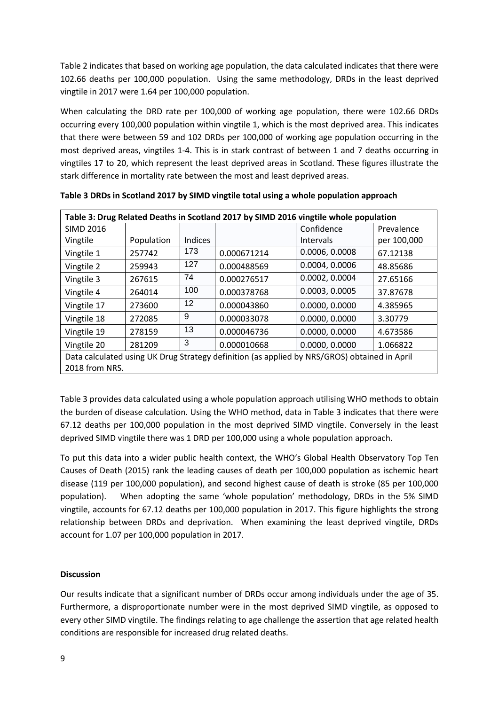Table 2 indicates that based on working age population, the data calculated indicates that there were 102.66 deaths per 100,000 population. Using the same methodology, DRDs in the least deprived vingtile in 2017 were 1.64 per 100,000 population.

When calculating the DRD rate per 100,000 of working age population, there were 102.66 DRDs occurring every 100,000 population within vingtile 1, which is the most deprived area. This indicates that there were between 59 and 102 DRDs per 100,000 of working age population occurring in the most deprived areas, vingtiles 1-4. This is in stark contrast of between 1 and 7 deaths occurring in vingtiles 17 to 20, which represent the least deprived areas in Scotland. These figures illustrate the stark difference in mortality rate between the most and least deprived areas.

| Table 3: Drug Related Deaths in Scotland 2017 by SIMD 2016 vingtile whole population         |            |         |             |                |             |  |  |  |
|----------------------------------------------------------------------------------------------|------------|---------|-------------|----------------|-------------|--|--|--|
| <b>SIMD 2016</b>                                                                             |            |         |             | Confidence     | Prevalence  |  |  |  |
| Vingtile                                                                                     | Population | Indices |             | Intervals      | per 100,000 |  |  |  |
| Vingtile 1                                                                                   | 257742     | 173     | 0.000671214 | 0.0006, 0.0008 | 67.12138    |  |  |  |
| Vingtile 2                                                                                   | 259943     | 127     | 0.000488569 | 0.0004, 0.0006 | 48.85686    |  |  |  |
| Vingtile 3                                                                                   | 267615     | 74      | 0.000276517 | 0.0002, 0.0004 | 27.65166    |  |  |  |
| Vingtile 4                                                                                   | 264014     | 100     | 0.000378768 | 0.0003, 0.0005 | 37.87678    |  |  |  |
| Vingtile 17                                                                                  | 273600     | 12      | 0.000043860 | 0.0000, 0.0000 | 4.385965    |  |  |  |
| Vingtile 18                                                                                  | 272085     | 9       | 0.000033078 | 0.0000, 0.0000 | 3.30779     |  |  |  |
| Vingtile 19                                                                                  | 278159     | 13      | 0.000046736 | 0.0000, 0.0000 | 4.673586    |  |  |  |
| Vingtile 20                                                                                  | 281209     | 3       | 0.000010668 | 0.0000, 0.0000 | 1.066822    |  |  |  |
| Data calculated using UK Drug Strategy definition (as applied by NRS/GROS) obtained in April |            |         |             |                |             |  |  |  |
| 2018 from NRS.                                                                               |            |         |             |                |             |  |  |  |

**Table 3 DRDs in Scotland 2017 by SIMD vingtile total using a whole population approach**

Table 3 provides data calculated using a whole population approach utilising WHO methods to obtain the burden of disease calculation. Using the WHO method, data in Table 3 indicates that there were 67.12 deaths per 100,000 population in the most deprived SIMD vingtile. Conversely in the least deprived SIMD vingtile there was 1 DRD per 100,000 using a whole population approach.

To put this data into a wider public health context, the WHO's Global Health Observatory Top Ten Causes of Death (2015) rank the leading causes of death per 100,000 population as ischemic heart disease (119 per 100,000 population), and second highest cause of death is stroke (85 per 100,000 population). When adopting the same 'whole population' methodology, DRDs in the 5% SIMD vingtile, accounts for 67.12 deaths per 100,000 population in 2017. This figure highlights the strong relationship between DRDs and deprivation. When examining the least deprived vingtile, DRDs account for 1.07 per 100,000 population in 2017.

### **Discussion**

Our results indicate that a significant number of DRDs occur among individuals under the age of 35. Furthermore, a disproportionate number were in the most deprived SIMD vingtile, as opposed to every other SIMD vingtile. The findings relating to age challenge the assertion that age related health conditions are responsible for increased drug related deaths.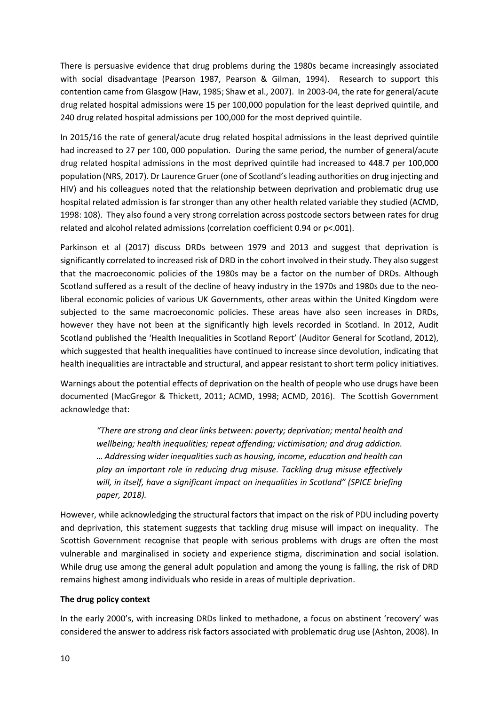There is persuasive evidence that drug problems during the 1980s became increasingly associated with social disadvantage (Pearson 1987, Pearson & Gilman, 1994). Research to support this contention came from Glasgow (Haw, 1985; Shaw et al., 2007). In 2003-04, the rate for general/acute drug related hospital admissions were 15 per 100,000 population for the least deprived quintile, and 240 drug related hospital admissions per 100,000 for the most deprived quintile.

In 2015/16 the rate of general/acute drug related hospital admissions in the least deprived quintile had increased to 27 per 100, 000 population. During the same period, the number of general/acute drug related hospital admissions in the most deprived quintile had increased to 448.7 per 100,000 population (NRS, 2017). Dr Laurence Gruer (one of Scotland's leading authorities on drug injecting and HIV) and his colleagues noted that the relationship between deprivation and problematic drug use hospital related admission is far stronger than any other health related variable they studied (ACMD, 1998: 108). They also found a very strong correlation across postcode sectors between rates for drug related and alcohol related admissions (correlation coefficient 0.94 or p<.001).

Parkinson et al (2017) discuss DRDs between 1979 and 2013 and suggest that deprivation is significantly correlated to increased risk of DRD in the cohort involved in their study. They also suggest that the macroeconomic policies of the 1980s may be a factor on the number of DRDs. Although Scotland suffered as a result of the decline of heavy industry in the 1970s and 1980s due to the neoliberal economic policies of various UK Governments, other areas within the United Kingdom were subjected to the same macroeconomic policies. These areas have also seen increases in DRDs, however they have not been at the significantly high levels recorded in Scotland. In 2012, Audit Scotland published the 'Health Inequalities in Scotland Report' (Auditor General for Scotland, 2012), which suggested that health inequalities have continued to increase since devolution, indicating that health inequalities are intractable and structural, and appear resistant to short term policy initiatives.

Warnings about the potential effects of deprivation on the health of people who use drugs have been documented (MacGregor & Thickett, 2011; ACMD, 1998; ACMD, 2016). The Scottish Government acknowledge that:

*"There are strong and clear links between: poverty; deprivation; mental health and wellbeing; health inequalities; repeat offending; victimisation; and drug addiction. … Addressing wider inequalities such as housing, income, education and health can play an important role in reducing drug misuse. Tackling drug misuse effectively will, in itself, have a significant impact on inequalities in Scotland" (SPICE briefing paper, 2018).*

However, while acknowledging the structural factors that impact on the risk of PDU including poverty and deprivation, this statement suggests that tackling drug misuse will impact on inequality. The Scottish Government recognise that people with serious problems with drugs are often the most vulnerable and marginalised in society and experience stigma, discrimination and social isolation. While drug use among the general adult population and among the young is falling, the risk of DRD remains highest among individuals who reside in areas of multiple deprivation.

#### **The drug policy context**

In the early 2000's, with increasing DRDs linked to methadone, a focus on abstinent 'recovery' was considered the answer to address risk factors associated with problematic drug use (Ashton, 2008). In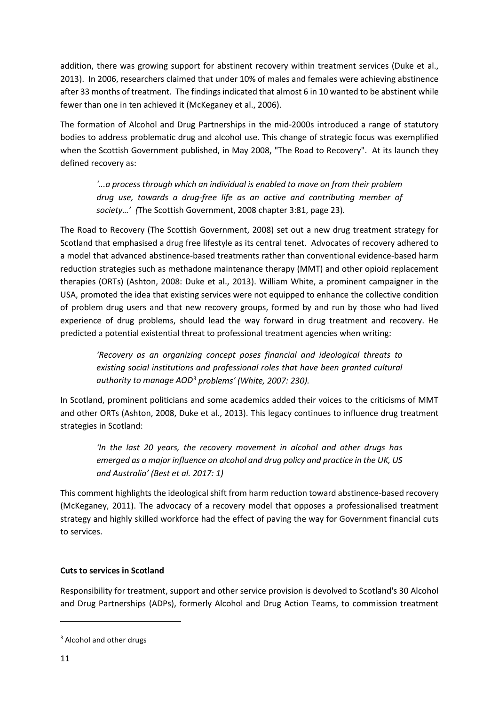addition, there was growing support for abstinent recovery within treatment services (Duke et al., 2013). In 2006, researchers claimed that under 10% of males and females were achieving abstinence after 33 months of treatment. The findings indicated that almost 6 in 10 wanted to be abstinent while fewer than one in ten achieved it (McKeganey et al., 2006).

The formation of Alcohol and Drug Partnerships in the mid-2000s introduced a range of statutory bodies to address problematic drug and alcohol use. This change of strategic focus was exemplified when the Scottish Government published, in May 2008, "The Road to Recovery". At its launch they defined recovery as:

*'...a process through which an individual is enabled to move on from their problem drug use, towards a drug-free life as an active and contributing member of society…' (*The Scottish Government, 2008 chapter 3:81, page 23)*.*

The Road to Recovery (The Scottish Government, 2008) set out a new drug treatment strategy for Scotland that emphasised a drug free lifestyle as its central tenet. Advocates of recovery adhered to a model that advanced abstinence-based treatments rather than conventional evidence-based harm reduction strategies such as methadone maintenance therapy (MMT) and other opioid replacement therapies (ORTs) (Ashton, 2008: Duke et al., 2013). William White, a prominent campaigner in the USA, promoted the idea that existing services were not equipped to enhance the collective condition of problem drug users and that new recovery groups, formed by and run by those who had lived experience of drug problems, should lead the way forward in drug treatment and recovery. He predicted a potential existential threat to professional treatment agencies when writing:

*'Recovery as an organizing concept poses financial and ideological threats to existing social institutions and professional roles that have been granted cultural authority to manage AOD[3](#page-12-0) problems' (White, 2007: 230).* 

In Scotland, prominent politicians and some academics added their voices to the criticisms of MMT and other ORTs (Ashton, 2008, Duke et al., 2013). This legacy continues to influence drug treatment strategies in Scotland:

*'In the last 20 years, the recovery movement in alcohol and other drugs has emerged as a major influence on alcohol and drug policy and practice in the UK, US and Australia' (Best et al. 2017: 1)*

This comment highlights the ideological shift from harm reduction toward abstinence-based recovery (McKeganey, 2011). The advocacy of a recovery model that opposes a professionalised treatment strategy and highly skilled workforce had the effect of paving the way for Government financial cuts to services.

# **Cuts to services in Scotland**

Responsibility for treatment, support and other service provision is devolved to Scotland's 30 Alcohol and Drug Partnerships (ADPs), formerly Alcohol and Drug Action Teams, to commission treatment

 $\overline{\phantom{a}}$ 

<span id="page-12-0"></span><sup>&</sup>lt;sup>3</sup> Alcohol and other drugs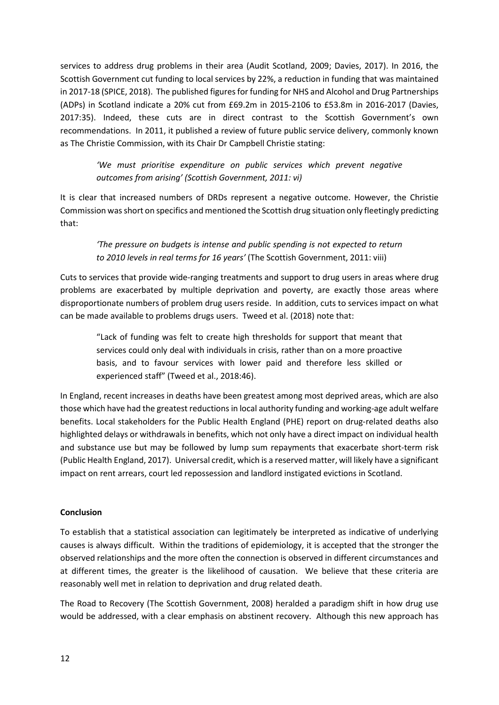services to address drug problems in their area (Audit Scotland, 2009; Davies, 2017). In 2016, the Scottish Government cut funding to local services by 22%, a reduction in funding that was maintained in 2017-18 (SPICE, 2018). The published figures for funding for NHS and Alcohol and Drug Partnerships (ADPs) in Scotland indicate a 20% cut from £69.2m in 2015-2106 to £53.8m in 2016-2017 (Davies, 2017:35). Indeed, these cuts are in direct contrast to the Scottish Government's own recommendations. In 2011, it published a review of future public service delivery, commonly known as The Christie Commission, with its Chair Dr Campbell Christie stating:

*'We must prioritise expenditure on public services which prevent negative outcomes from arising' (Scottish Government, 2011: vi)*

It is clear that increased numbers of DRDs represent a negative outcome. However, the Christie Commission was short on specifics and mentioned the Scottish drug situation only fleetingly predicting that:

*'The pressure on budgets is intense and public spending is not expected to return to 2010 levels in real terms for 16 years'* (The Scottish Government, 2011: viii)

Cuts to services that provide wide-ranging treatments and support to drug users in areas where drug problems are exacerbated by multiple deprivation and poverty, are exactly those areas where disproportionate numbers of problem drug users reside. In addition, cuts to services impact on what can be made available to problems drugs users. Tweed et al. (2018) note that:

"Lack of funding was felt to create high thresholds for support that meant that services could only deal with individuals in crisis, rather than on a more proactive basis, and to favour services with lower paid and therefore less skilled or experienced staff" (Tweed et al., 2018:46).

In England, recent increases in deaths have been greatest among most deprived areas, which are also those which have had the greatest reductions in local authority funding and working-age adult welfare benefits. Local stakeholders for the Public Health England (PHE) report on drug-related deaths also highlighted delays or withdrawals in benefits, which not only have a direct impact on individual health and substance use but may be followed by lump sum repayments that exacerbate short-term risk (Public Health England, 2017). Universal credit, which is a reserved matter, will likely have a significant impact on rent arrears, court led repossession and landlord instigated evictions in Scotland.

#### **Conclusion**

To establish that a statistical association can legitimately be interpreted as indicative of underlying causes is always difficult. Within the traditions of epidemiology, it is accepted that the stronger the observed relationships and the more often the connection is observed in different circumstances and at different times, the greater is the likelihood of causation. We believe that these criteria are reasonably well met in relation to deprivation and drug related death.

The Road to Recovery (The Scottish Government, 2008) heralded a paradigm shift in how drug use would be addressed, with a clear emphasis on abstinent recovery. Although this new approach has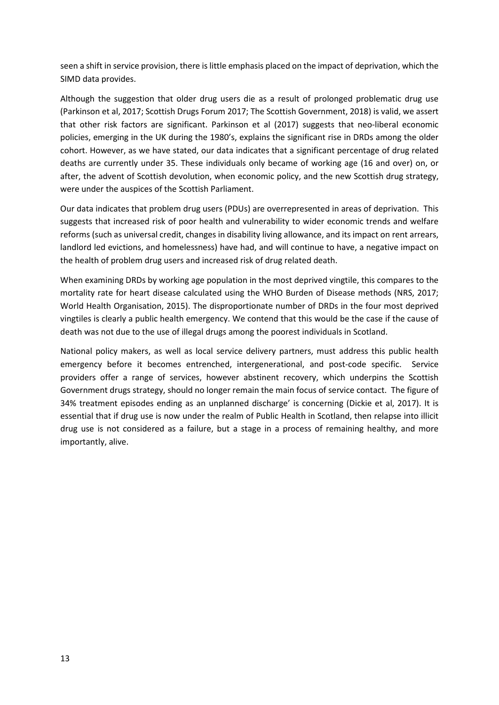seen a shift in service provision, there is little emphasis placed on the impact of deprivation, which the SIMD data provides.

Although the suggestion that older drug users die as a result of prolonged problematic drug use (Parkinson et al, 2017; Scottish Drugs Forum 2017; The Scottish Government, 2018) is valid, we assert that other risk factors are significant. Parkinson et al (2017) suggests that neo-liberal economic policies, emerging in the UK during the 1980's, explains the significant rise in DRDs among the older cohort. However, as we have stated, our data indicates that a significant percentage of drug related deaths are currently under 35. These individuals only became of working age (16 and over) on, or after, the advent of Scottish devolution, when economic policy, and the new Scottish drug strategy, were under the auspices of the Scottish Parliament.

Our data indicates that problem drug users (PDUs) are overrepresented in areas of deprivation. This suggests that increased risk of poor health and vulnerability to wider economic trends and welfare reforms (such as universal credit, changes in disability living allowance, and its impact on rent arrears, landlord led evictions, and homelessness) have had, and will continue to have, a negative impact on the health of problem drug users and increased risk of drug related death.

When examining DRDs by working age population in the most deprived vingtile, this compares to the mortality rate for heart disease calculated using the WHO Burden of Disease methods (NRS, 2017; World Health Organisation, 2015). The disproportionate number of DRDs in the four most deprived vingtiles is clearly a public health emergency. We contend that this would be the case if the cause of death was not due to the use of illegal drugs among the poorest individuals in Scotland.

National policy makers, as well as local service delivery partners, must address this public health emergency before it becomes entrenched, intergenerational, and post-code specific. Service providers offer a range of services, however abstinent recovery, which underpins the Scottish Government drugs strategy, should no longer remain the main focus of service contact. The figure of 34% treatment episodes ending as an unplanned discharge' is concerning (Dickie et al, 2017). It is essential that if drug use is now under the realm of Public Health in Scotland, then relapse into illicit drug use is not considered as a failure, but a stage in a process of remaining healthy, and more importantly, alive.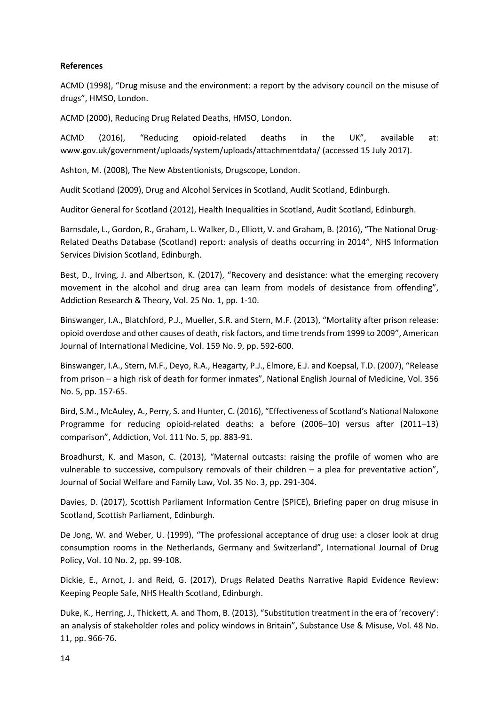#### **References**

ACMD (1998), "Drug misuse and the environment: a report by the advisory council on the misuse of drugs", HMSO, London.

ACMD (2000), Reducing Drug Related Deaths, HMSO, London.

ACMD (2016), "Reducing opioid-related deaths in the UK", available at: www.gov.uk/government/uploads/system/uploads/attachmentdata/ (accessed 15 July 2017).

Ashton, M. (2008), The New Abstentionists, Drugscope, London.

Audit Scotland (2009), Drug and Alcohol Services in Scotland, Audit Scotland, Edinburgh.

Auditor General for Scotland (2012), Health Inequalities in Scotland, Audit Scotland, Edinburgh.

Barnsdale, L., Gordon, R., Graham, L. Walker, D., Elliott, V. and Graham, B. (2016), "The National Drug-Related Deaths Database (Scotland) report: analysis of deaths occurring in 2014", NHS Information Services Division Scotland, Edinburgh.

Best, D., Irving, J. and Albertson, K. (2017), "Recovery and desistance: what the emerging recovery movement in the alcohol and drug area can learn from models of desistance from offending", Addiction Research & Theory, Vol. 25 No. 1, pp. 1-10.

Binswanger, I.A., Blatchford, P.J., Mueller, S.R. and Stern, M.F. (2013), "Mortality after prison release: opioid overdose and other causes of death, risk factors, and time trends from 1999 to 2009", American Journal of International Medicine, Vol. 159 No. 9, pp. 592-600.

Binswanger, I.A., Stern, M.F., Deyo, R.A., Heagarty, P.J., Elmore, E.J. and Koepsal, T.D. (2007), "Release from prison – a high risk of death for former inmates", National English Journal of Medicine, Vol. 356 No. 5, pp. 157-65.

Bird, S.M., McAuley, A., Perry, S. and Hunter, C. (2016), "Effectiveness of Scotland's National Naloxone Programme for reducing opioid-related deaths: a before (2006–10) versus after (2011–13) comparison", Addiction, Vol. 111 No. 5, pp. 883-91.

Broadhurst, K. and Mason, C. (2013), "Maternal outcasts: raising the profile of women who are vulnerable to successive, compulsory removals of their children – a plea for preventative action", Journal of Social Welfare and Family Law, Vol. 35 No. 3, pp. 291-304.

Davies, D. (2017), Scottish Parliament Information Centre (SPICE), Briefing paper on drug misuse in Scotland, Scottish Parliament, Edinburgh.

De Jong, W. and Weber, U. (1999), "The professional acceptance of drug use: a closer look at drug consumption rooms in the Netherlands, Germany and Switzerland", International Journal of Drug Policy, Vol. 10 No. 2, pp. 99-108.

Dickie, E., Arnot, J. and Reid, G. (2017), Drugs Related Deaths Narrative Rapid Evidence Review: Keeping People Safe, NHS Health Scotland, Edinburgh.

Duke, K., Herring, J., Thickett, A. and Thom, B. (2013), "Substitution treatment in the era of 'recovery': an analysis of stakeholder roles and policy windows in Britain", Substance Use & Misuse, Vol. 48 No. 11, pp. 966-76.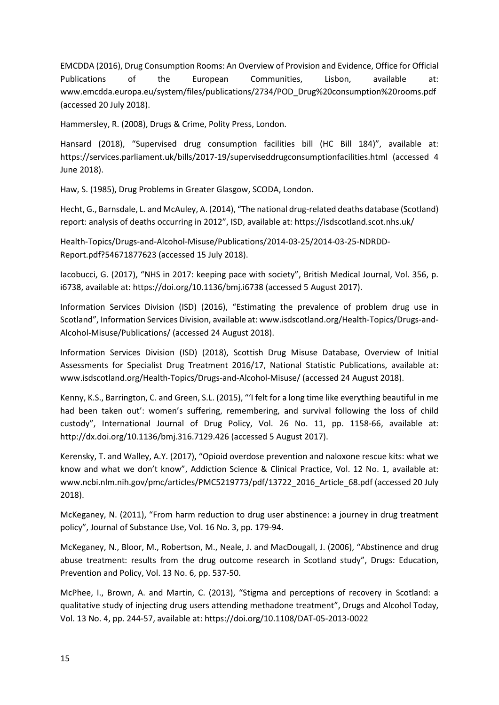EMCDDA (2016), Drug Consumption Rooms: An Overview of Provision and Evidence, Office for Official Publications of the European Communities, Lisbon, available at: www.emcdda.europa.eu/system/files/publications/2734/POD\_Drug%20consumption%20rooms.pdf (accessed 20 July 2018).

Hammersley, R. (2008), Drugs & Crime, Polity Press, London.

Hansard (2018), "Supervised drug consumption facilities bill (HC Bill 184)", available at: https://services.parliament.uk/bills/2017-19/superviseddrugconsumptionfacilities.html (accessed 4 June 2018).

Haw, S. (1985), Drug Problems in Greater Glasgow, SCODA, London.

Hecht, G., Barnsdale, L. and McAuley, A. (2014), "The national drug-related deaths database (Scotland) report: analysis of deaths occurring in 2012", ISD, available at: https://isdscotland.scot.nhs.uk/

Health-Topics/Drugs-and-Alcohol-Misuse/Publications/2014-03-25/2014-03-25-NDRDD-Report.pdf?54671877623 (accessed 15 July 2018).

Iacobucci, G. (2017), "NHS in 2017: keeping pace with society", British Medical Journal, Vol. 356, p. i6738, available at: https://doi.org/10.1136/bmj.i6738 (accessed 5 August 2017).

Information Services Division (ISD) (2016), "Estimating the prevalence of problem drug use in Scotland", Information Services Division, available at: www.isdscotland.org/Health-Topics/Drugs-and-Alcohol-Misuse/Publications/ (accessed 24 August 2018).

Information Services Division (ISD) (2018), Scottish Drug Misuse Database, Overview of Initial Assessments for Specialist Drug Treatment 2016/17, National Statistic Publications, available at: www.isdscotland.org/Health-Topics/Drugs-and-Alcohol-Misuse/ (accessed 24 August 2018).

Kenny, K.S., Barrington, C. and Green, S.L. (2015), "'I felt for a long time like everything beautiful in me had been taken out': women's suffering, remembering, and survival following the loss of child custody", International Journal of Drug Policy, Vol. 26 No. 11, pp. 1158-66, available at: http://dx.doi.org/10.1136/bmj.316.7129.426 (accessed 5 August 2017).

Kerensky, T. and Walley, A.Y. (2017), "Opioid overdose prevention and naloxone rescue kits: what we know and what we don't know", Addiction Science & Clinical Practice, Vol. 12 No. 1, available at: www.ncbi.nlm.nih.gov/pmc/articles/PMC5219773/pdf/13722\_2016\_Article\_68.pdf (accessed 20 July 2018).

McKeganey, N. (2011), "From harm reduction to drug user abstinence: a journey in drug treatment policy", Journal of Substance Use, Vol. 16 No. 3, pp. 179-94.

McKeganey, N., Bloor, M., Robertson, M., Neale, J. and MacDougall, J. (2006), "Abstinence and drug abuse treatment: results from the drug outcome research in Scotland study", Drugs: Education, Prevention and Policy, Vol. 13 No. 6, pp. 537-50.

McPhee, I., Brown, A. and Martin, C. (2013), "Stigma and perceptions of recovery in Scotland: a qualitative study of injecting drug users attending methadone treatment", Drugs and Alcohol Today, Vol. 13 No. 4, pp. 244-57, available at: https://doi.org/10.1108/DAT-05-2013-0022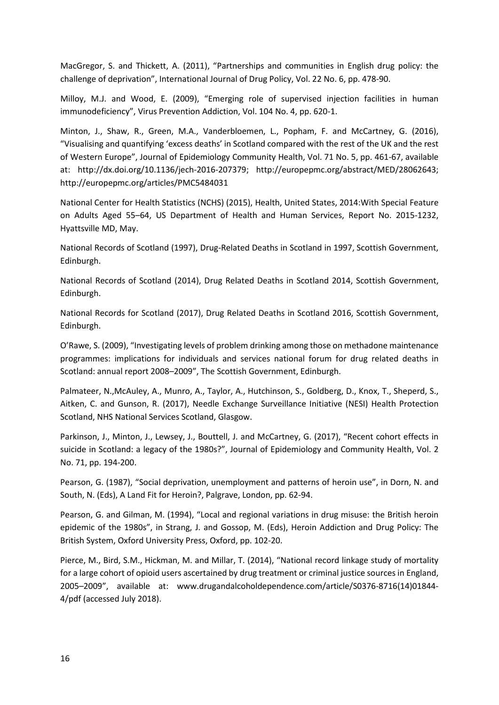MacGregor, S. and Thickett, A. (2011), "Partnerships and communities in English drug policy: the challenge of deprivation", International Journal of Drug Policy, Vol. 22 No. 6, pp. 478-90.

Milloy, M.J. and Wood, E. (2009), "Emerging role of supervised injection facilities in human immunodeficiency", Virus Prevention Addiction, Vol. 104 No. 4, pp. 620-1.

Minton, J., Shaw, R., Green, M.A., Vanderbloemen, L., Popham, F. and McCartney, G. (2016), "Visualising and quantifying 'excess deaths' in Scotland compared with the rest of the UK and the rest of Western Europe", Journal of Epidemiology Community Health, Vol. 71 No. 5, pp. 461-67, available at: http://dx.doi.org/10.1136/jech-2016-207379; http://europepmc.org/abstract/MED/28062643; http://europepmc.org/articles/PMC5484031

National Center for Health Statistics (NCHS) (2015), Health, United States, 2014:With Special Feature on Adults Aged 55–64, US Department of Health and Human Services, Report No. 2015-1232, Hyattsville MD, May.

National Records of Scotland (1997), Drug-Related Deaths in Scotland in 1997, Scottish Government, Edinburgh.

National Records of Scotland (2014), Drug Related Deaths in Scotland 2014, Scottish Government, Edinburgh.

National Records for Scotland (2017), Drug Related Deaths in Scotland 2016, Scottish Government, Edinburgh.

O'Rawe, S. (2009), "Investigating levels of problem drinking among those on methadone maintenance programmes: implications for individuals and services national forum for drug related deaths in Scotland: annual report 2008–2009", The Scottish Government, Edinburgh.

Palmateer, N.,McAuley, A., Munro, A., Taylor, A., Hutchinson, S., Goldberg, D., Knox, T., Sheperd, S., Aitken, C. and Gunson, R. (2017), Needle Exchange Surveillance Initiative (NESI) Health Protection Scotland, NHS National Services Scotland, Glasgow.

Parkinson, J., Minton, J., Lewsey, J., Bouttell, J. and McCartney, G. (2017), "Recent cohort effects in suicide in Scotland: a legacy of the 1980s?", Journal of Epidemiology and Community Health, Vol. 2 No. 71, pp. 194-200.

Pearson, G. (1987), "Social deprivation, unemployment and patterns of heroin use", in Dorn, N. and South, N. (Eds), A Land Fit for Heroin?, Palgrave, London, pp. 62-94.

Pearson, G. and Gilman, M. (1994), "Local and regional variations in drug misuse: the British heroin epidemic of the 1980s", in Strang, J. and Gossop, M. (Eds), Heroin Addiction and Drug Policy: The British System, Oxford University Press, Oxford, pp. 102-20.

Pierce, M., Bird, S.M., Hickman, M. and Millar, T. (2014), "National record linkage study of mortality for a large cohort of opioid users ascertained by drug treatment or criminal justice sources in England, 2005–2009", available at: www.drugandalcoholdependence.com/article/S0376-8716(14)01844- 4/pdf (accessed July 2018).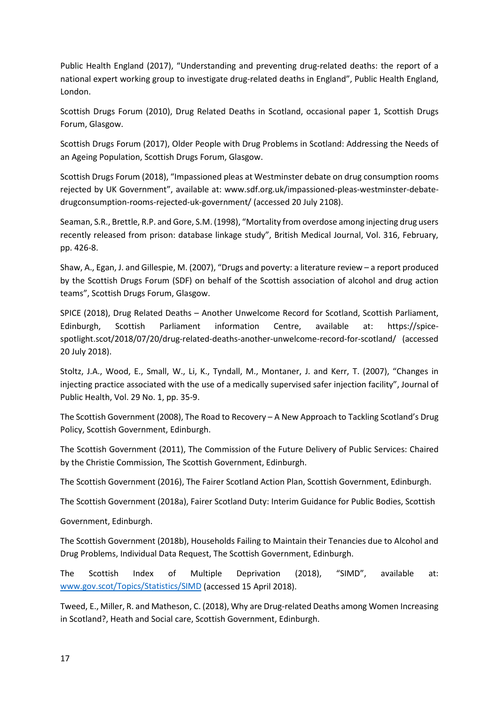Public Health England (2017), "Understanding and preventing drug-related deaths: the report of a national expert working group to investigate drug-related deaths in England", Public Health England, London.

Scottish Drugs Forum (2010), Drug Related Deaths in Scotland, occasional paper 1, Scottish Drugs Forum, Glasgow.

Scottish Drugs Forum (2017), Older People with Drug Problems in Scotland: Addressing the Needs of an Ageing Population, Scottish Drugs Forum, Glasgow.

Scottish Drugs Forum (2018), "Impassioned pleas at Westminster debate on drug consumption rooms rejected by UK Government", available at: www.sdf.org.uk/impassioned-pleas-westminster-debatedrugconsumption-rooms-rejected-uk-government/ (accessed 20 July 2108).

Seaman, S.R., Brettle, R.P. and Gore, S.M. (1998), "Mortality from overdose among injecting drug users recently released from prison: database linkage study", British Medical Journal, Vol. 316, February, pp. 426-8.

Shaw, A., Egan, J. and Gillespie, M. (2007), "Drugs and poverty: a literature review – a report produced by the Scottish Drugs Forum (SDF) on behalf of the Scottish association of alcohol and drug action teams", Scottish Drugs Forum, Glasgow.

SPICE (2018), Drug Related Deaths – Another Unwelcome Record for Scotland, Scottish Parliament, Edinburgh, Scottish Parliament information Centre, available at: https://spicespotlight.scot/2018/07/20/drug-related-deaths-another-unwelcome-record-for-scotland/ (accessed 20 July 2018).

Stoltz, J.A., Wood, E., Small, W., Li, K., Tyndall, M., Montaner, J. and Kerr, T. (2007), "Changes in injecting practice associated with the use of a medically supervised safer injection facility", Journal of Public Health, Vol. 29 No. 1, pp. 35-9.

The Scottish Government (2008), The Road to Recovery – A New Approach to Tackling Scotland's Drug Policy, Scottish Government, Edinburgh.

The Scottish Government (2011), The Commission of the Future Delivery of Public Services: Chaired by the Christie Commission, The Scottish Government, Edinburgh.

The Scottish Government (2016), The Fairer Scotland Action Plan, Scottish Government, Edinburgh.

The Scottish Government (2018a), Fairer Scotland Duty: Interim Guidance for Public Bodies, Scottish

Government, Edinburgh.

The Scottish Government (2018b), Households Failing to Maintain their Tenancies due to Alcohol and Drug Problems, Individual Data Request, The Scottish Government, Edinburgh.

The Scottish Index of Multiple Deprivation (2018), "SIMD", available at: [www.gov.scot/Topics/Statistics/SIMD](http://www.gov.scot/Topics/Statistics/SIMD) (accessed 15 April 2018).

Tweed, E., Miller, R. and Matheson, C. (2018), Why are Drug-related Deaths among Women Increasing in Scotland?, Heath and Social care, Scottish Government, Edinburgh.